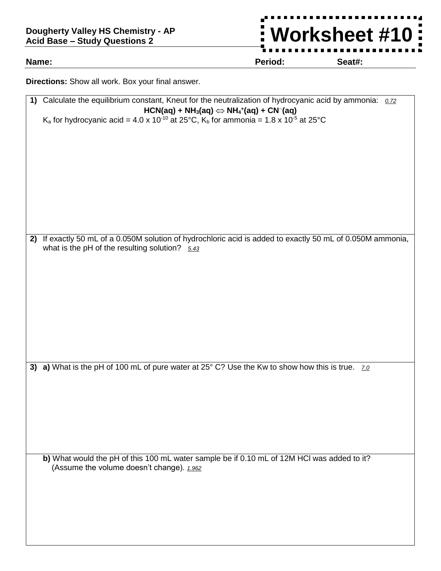## **Dougherty Valley HS Chemistry - AP Acid Base – Study Questions 2**

**Worksheet #10**Ĩ. t

**Name: Period: Seat#:**

**Directions:** Show all work. Box your final answer.

| 1) Calculate the equilibrium constant, Kneut for the neutralization of hydrocyanic acid by ammonia: 0.72                                                       |  |
|----------------------------------------------------------------------------------------------------------------------------------------------------------------|--|
| $HCN(aq) + NH3(aq) \Leftrightarrow NH4+(aq) + CN-(aq)$                                                                                                         |  |
| K <sub>a</sub> for hydrocyanic acid = 4.0 x 10 <sup>-10</sup> at 25°C, K <sub>b</sub> for ammonia = 1.8 x 10 <sup>-5</sup> at 25°C                             |  |
|                                                                                                                                                                |  |
|                                                                                                                                                                |  |
|                                                                                                                                                                |  |
|                                                                                                                                                                |  |
|                                                                                                                                                                |  |
|                                                                                                                                                                |  |
|                                                                                                                                                                |  |
|                                                                                                                                                                |  |
|                                                                                                                                                                |  |
|                                                                                                                                                                |  |
| 2) If exactly 50 mL of a 0.050M solution of hydrochloric acid is added to exactly 50 mL of 0.050M ammonia,<br>what is the pH of the resulting solution? $5.43$ |  |
|                                                                                                                                                                |  |
|                                                                                                                                                                |  |
|                                                                                                                                                                |  |
|                                                                                                                                                                |  |
|                                                                                                                                                                |  |
|                                                                                                                                                                |  |
|                                                                                                                                                                |  |
|                                                                                                                                                                |  |
|                                                                                                                                                                |  |
|                                                                                                                                                                |  |
| 3) a) What is the pH of 100 mL of pure water at 25° C? Use the Kw to show how this is true. zo                                                                 |  |
|                                                                                                                                                                |  |
|                                                                                                                                                                |  |
|                                                                                                                                                                |  |
|                                                                                                                                                                |  |
|                                                                                                                                                                |  |
|                                                                                                                                                                |  |
| b) What would the pH of this 100 mL water sample be if 0.10 mL of 12M HCI was added to it?                                                                     |  |
| (Assume the volume doesn't change). 1.962                                                                                                                      |  |
|                                                                                                                                                                |  |
|                                                                                                                                                                |  |
|                                                                                                                                                                |  |
|                                                                                                                                                                |  |
|                                                                                                                                                                |  |
|                                                                                                                                                                |  |